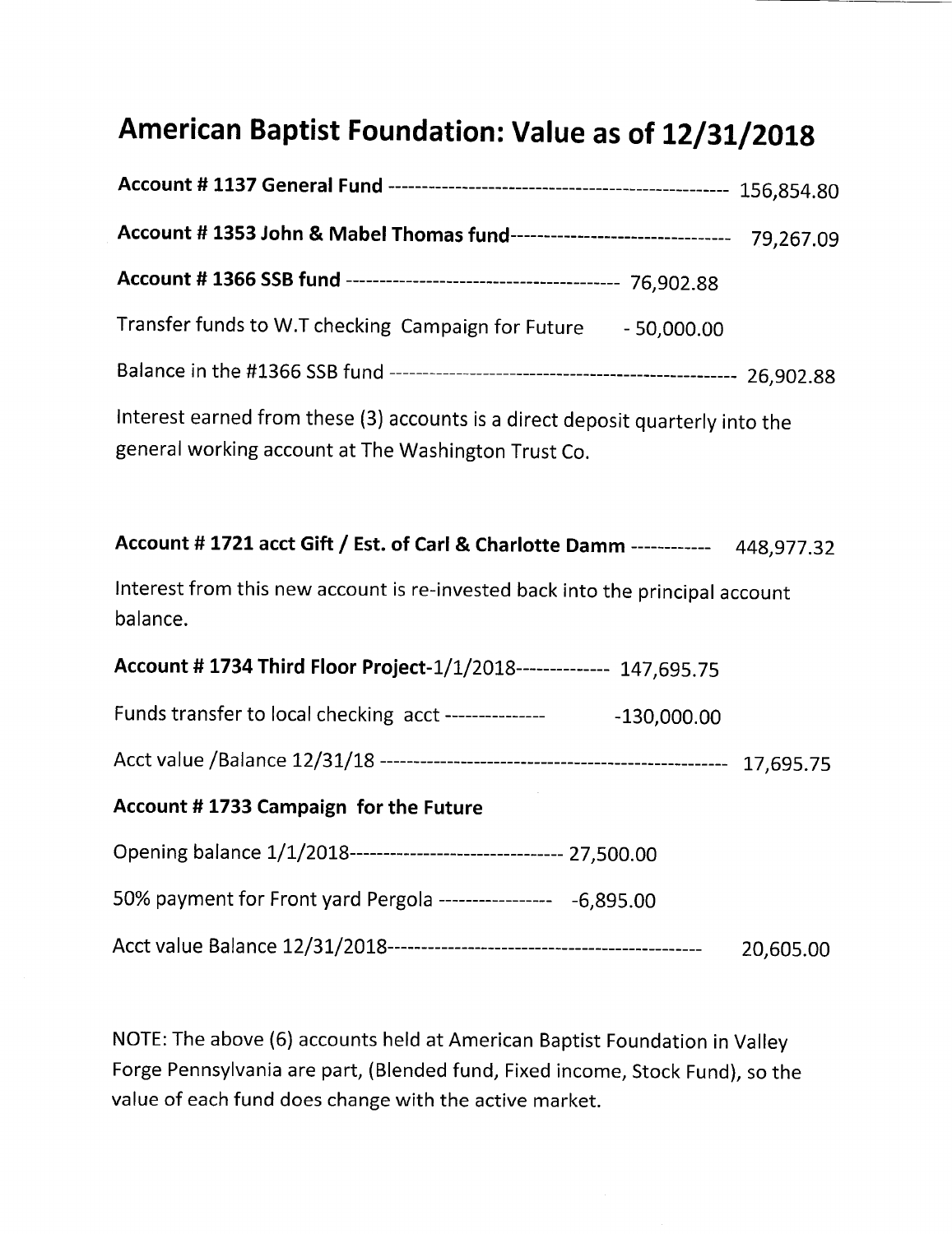## American Baptist Foundation: Value as of 12/31/2018

| Account # 1353 John & Mabel Thomas fund-------------------------------- 79,267.09                                                     |  |  |
|---------------------------------------------------------------------------------------------------------------------------------------|--|--|
|                                                                                                                                       |  |  |
| Transfer funds to W.T checking Campaign for Future - 50,000.00                                                                        |  |  |
|                                                                                                                                       |  |  |
| Interest earned from these (3) accounts is a direct deposit quarterly into the<br>general working account at The Washington Trust Co. |  |  |

| Account #1721 acct Gift / Est. of Carl & Charlotte Damm ------------ | 448,977.32 |
|----------------------------------------------------------------------|------------|
|----------------------------------------------------------------------|------------|

Interest from this new account is re-invested back into the principal account balance.

| Account # 1734 Third Floor Project-1/1/2018-------------- 147,695.75   |           |
|------------------------------------------------------------------------|-----------|
| Funds transfer to local checking acct ---------------<br>$-130,000.00$ |           |
|                                                                        |           |
| Account #1733 Campaign for the Future                                  |           |
| Opening balance 1/1/2018-------------------------------- 27,500.00     |           |
| 50% payment for Front yard Pergola ----------------- -6,895.00         |           |
|                                                                        | 20,605.00 |

NOTE: The above (6) accounts held at American Baptist Foundation in Valley Forge Pennsylvania are part, (Blended fund, Fixed income, Stock Fund), so the value of each fund does change with the active market.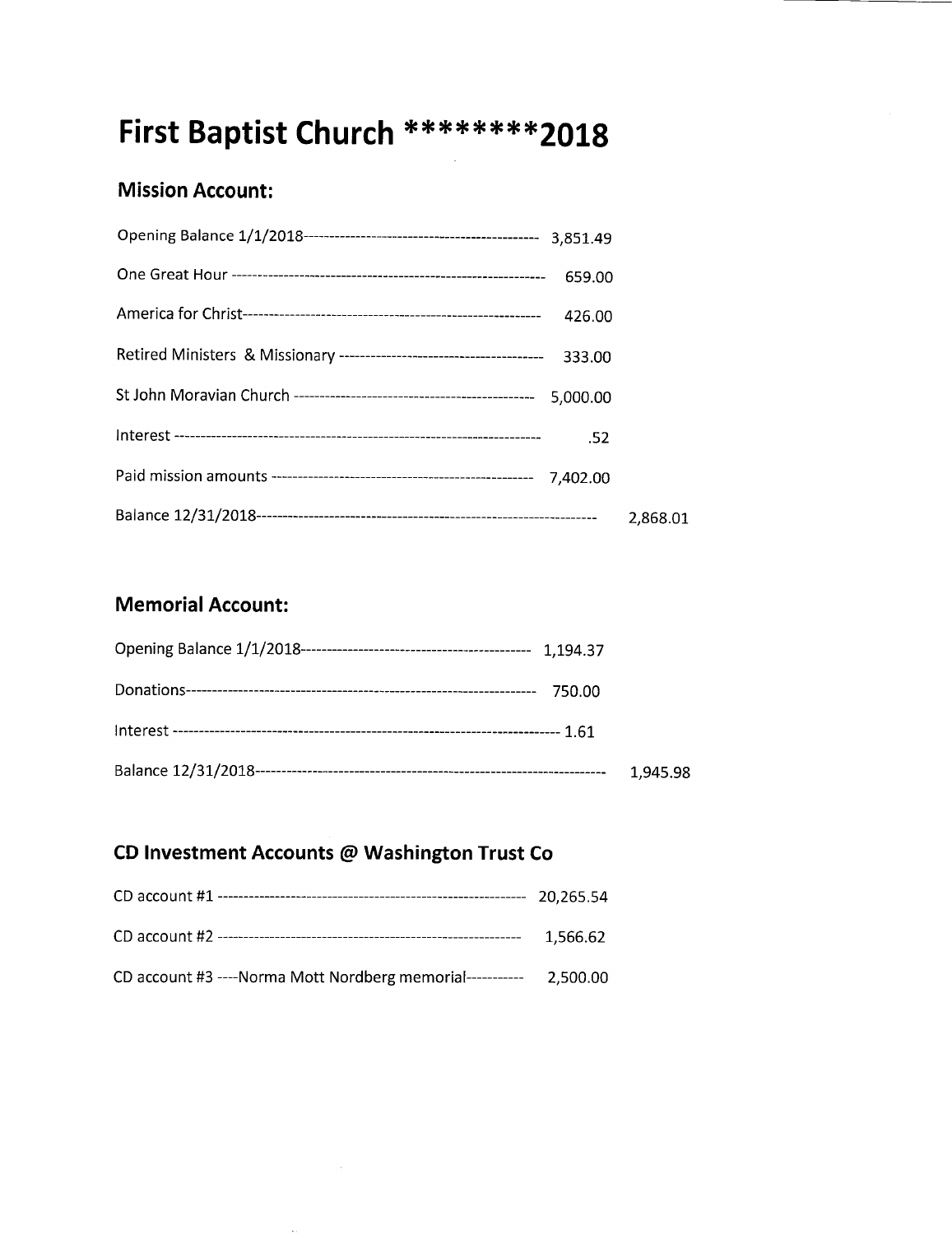## First Baptist Church \*\*\*\*\*\*\*\*\*2018

#### **Mission Account:**

| 659.00   |          |
|----------|----------|
| 426.00   |          |
| 333.00   |          |
| 5,000.00 |          |
| .52      |          |
|          |          |
|          | 2,868.01 |

#### **Memorial Account:**

| 1,945.98 |
|----------|

#### CD Investment Accounts @ Washington Trust Co

|                                                            | 20.265.54 |
|------------------------------------------------------------|-----------|
|                                                            | 1.566.62  |
| CD account #3 ---- Norma Mott Nordberg memorial----------- | 2.500.00  |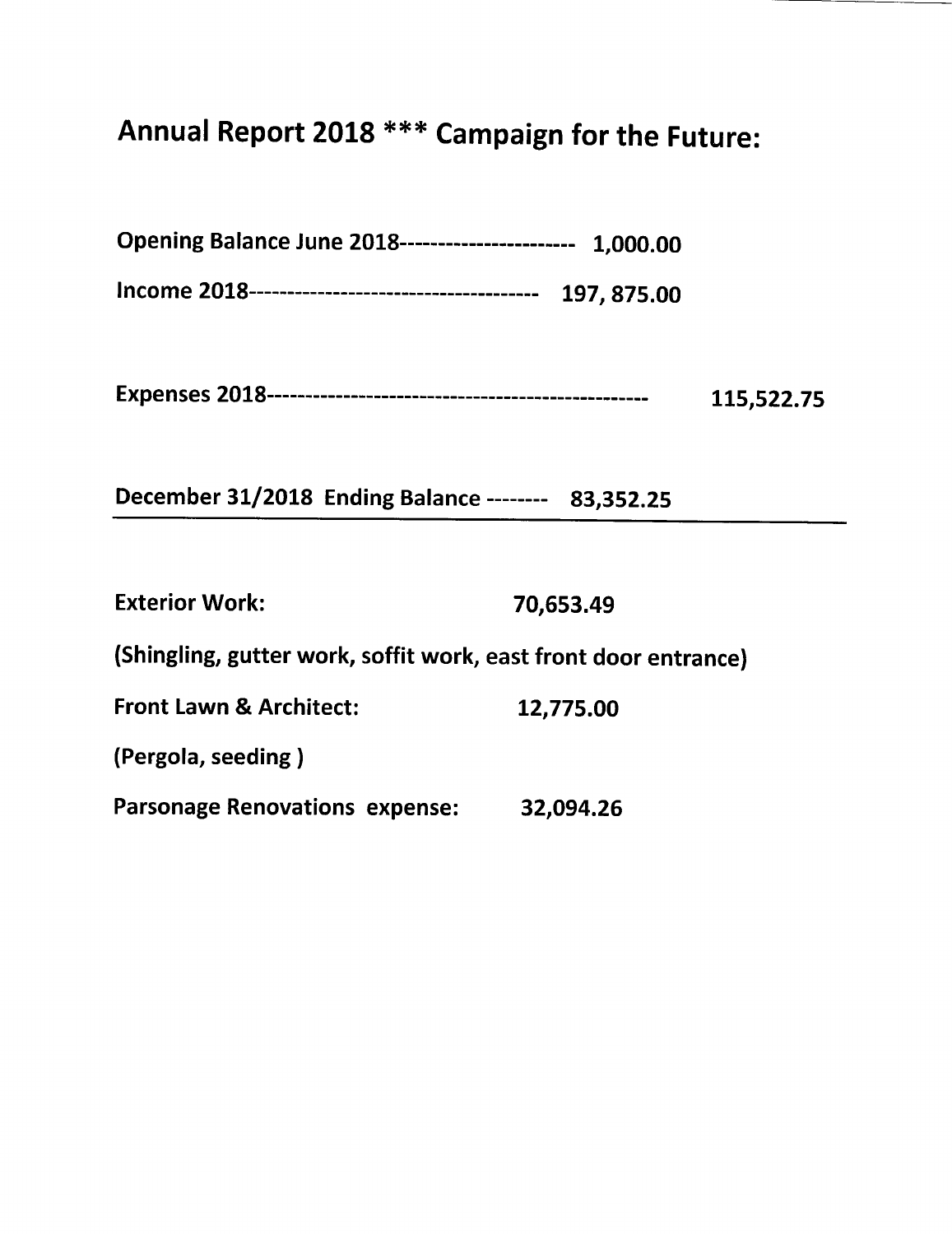## Annual Report 2018 \*\*\* Campaign for the Future:

Opening Balance June 2018---------------------- 1,000.00

|  | 115,522.75 |
|--|------------|
|--|------------|

December 31/2018 Ending Balance -------- 83,352.25

| <b>Exterior Work:</b>                                           | 70,653.49 |
|-----------------------------------------------------------------|-----------|
| (Shingling, gutter work, soffit work, east front door entrance) |           |
| <b>Front Lawn &amp; Architect:</b>                              | 12,775.00 |
| (Pergola, seeding)                                              |           |
| <b>Parsonage Renovations expense:</b>                           | 32,094.26 |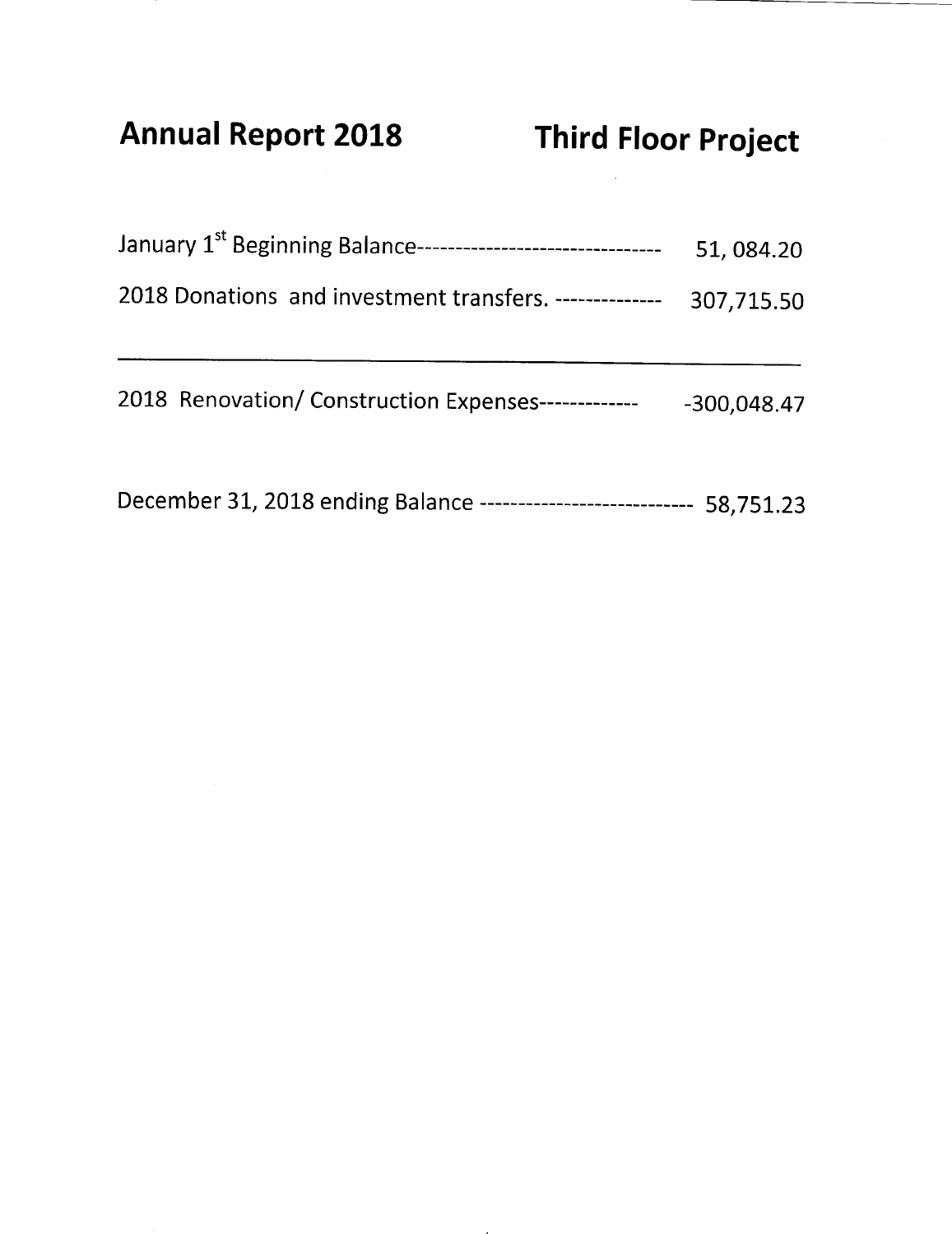**Annual Report 2018** 

| January 1 <sup>st</sup> Beginning Balance--------------------------------- | 51,084.20     |
|----------------------------------------------------------------------------|---------------|
| 2018 Donations and investment transfers. --------------                    | 307,715.50    |
| 2018 Renovation/ Construction Expenses-<br>-------------                   | $-300,048.47$ |

December 31, 2018 ending Balance --------------------------- 58,751.23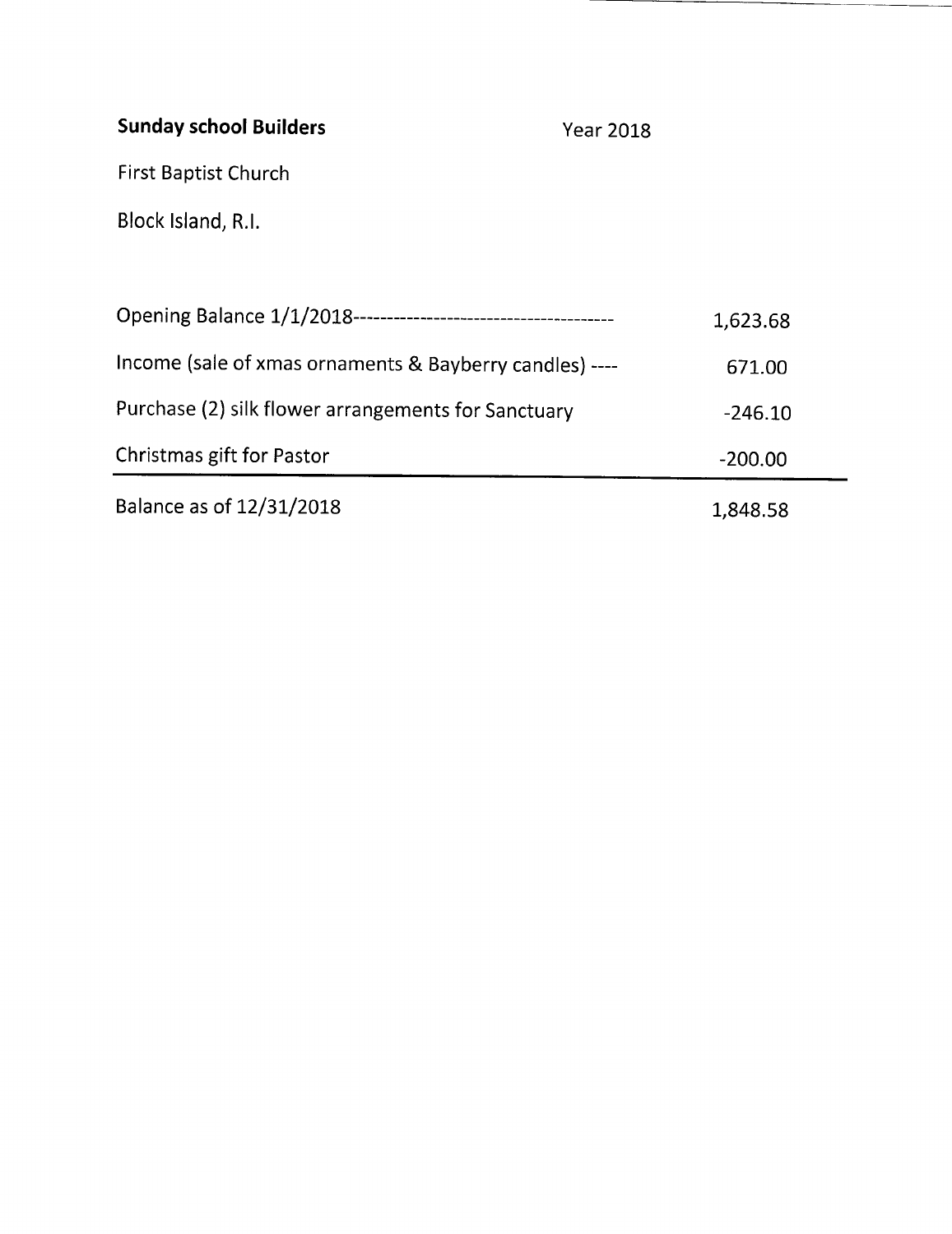### **Sunday school Builders**

**Year 2018** 

First Baptist Church

Block Island, R.I.

|                                                         | 1,623.68  |
|---------------------------------------------------------|-----------|
| Income (sale of xmas ornaments & Bayberry candles) ---- | 671.00    |
| Purchase (2) silk flower arrangements for Sanctuary     | $-246.10$ |
| Christmas gift for Pastor                               | $-200.00$ |
| Balance as of 12/31/2018                                | 1,848.58  |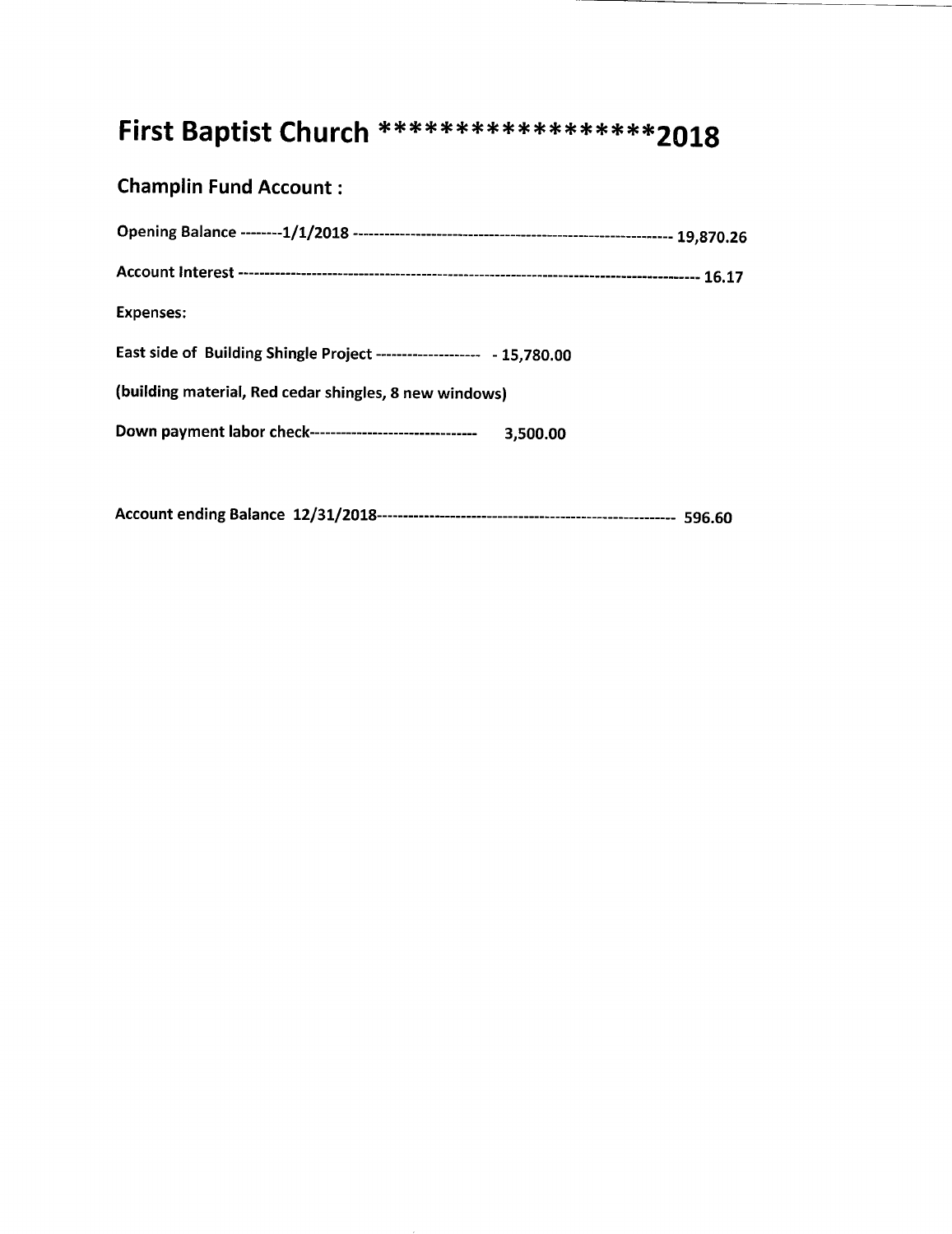### First Baptist Church \*\*\*\*\*\*\*\*\*\*\*\*\*\*\*\*\*\*\*\*2018

#### **Champlin Fund Account:**

| <b>Expenses:</b>                                                       |          |
|------------------------------------------------------------------------|----------|
| East side of Building Shingle Project -------------------- - 15,780.00 |          |
| (building material, Red cedar shingles, 8 new windows)                 |          |
| Down payment labor check---------------------------------              | 3,500.00 |
|                                                                        |          |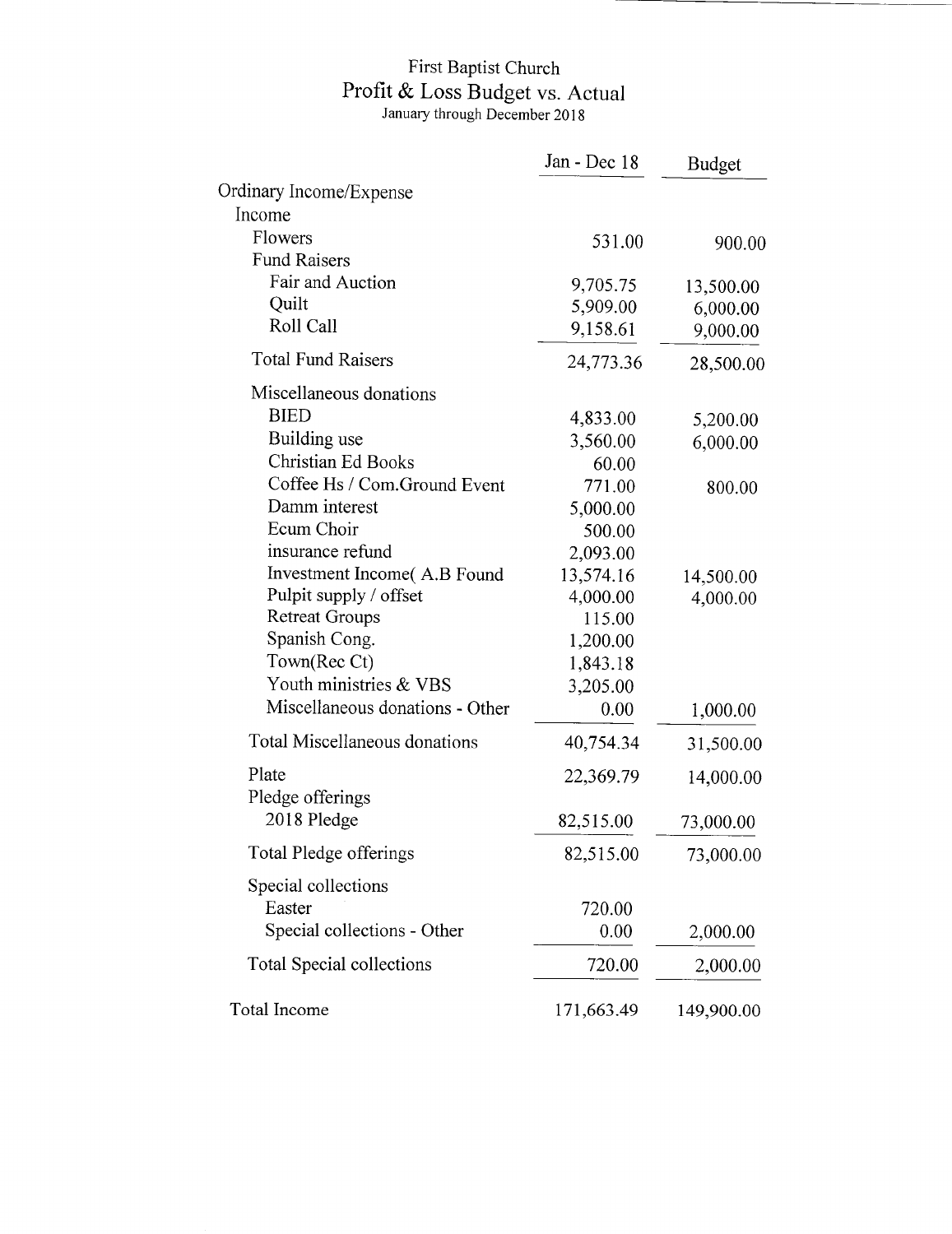## First Baptist Church<br>Profit & Loss Budget vs. Actual<br>January through December 2018

|                                 | Jan - Dec 18 | <b>Budget</b> |
|---------------------------------|--------------|---------------|
| Ordinary Income/Expense         |              |               |
| Income                          |              |               |
| Flowers                         | 531.00       | 900.00        |
| <b>Fund Raisers</b>             |              |               |
| Fair and Auction                | 9,705.75     | 13,500.00     |
| Quilt                           | 5,909.00     | 6,000.00      |
| Roll Call                       | 9,158.61     | 9,000.00      |
| <b>Total Fund Raisers</b>       | 24,773.36    | 28,500.00     |
| Miscellaneous donations         |              |               |
| <b>BIED</b>                     | 4,833.00     | 5,200.00      |
| Building use                    | 3,560.00     | 6,000.00      |
| <b>Christian Ed Books</b>       | 60.00        |               |
| Coffee Hs / Com.Ground Event    | 771.00       | 800.00        |
| Damm interest                   | 5,000.00     |               |
| Ecum Choir                      | 500.00       |               |
| insurance refund                | 2,093.00     |               |
| Investment Income(A.B Found     | 13,574.16    | 14,500.00     |
| Pulpit supply / offset          | 4,000.00     | 4,000.00      |
| <b>Retreat Groups</b>           | 115.00       |               |
| Spanish Cong.                   | 1,200.00     |               |
| Town(Rec Ct)                    | 1,843.18     |               |
| Youth ministries & VBS          | 3,205.00     |               |
| Miscellaneous donations - Other | 0.00         | 1,000.00      |
| Total Miscellaneous donations   | 40,754.34    | 31,500.00     |
| Plate                           | 22,369.79    | 14,000.00     |
| Pledge offerings<br>2018 Pledge | 82,515.00    | 73,000.00     |
| <b>Total Pledge offerings</b>   | 82,515.00    | 73,000.00     |
| Special collections             |              |               |
| Easter                          | 720.00       |               |
| Special collections - Other     | 0.00         | 2,000.00      |
|                                 |              |               |
| Total Special collections       | 720.00       | 2,000.00      |
| Total Income                    | 171,663.49   | 149,900.00    |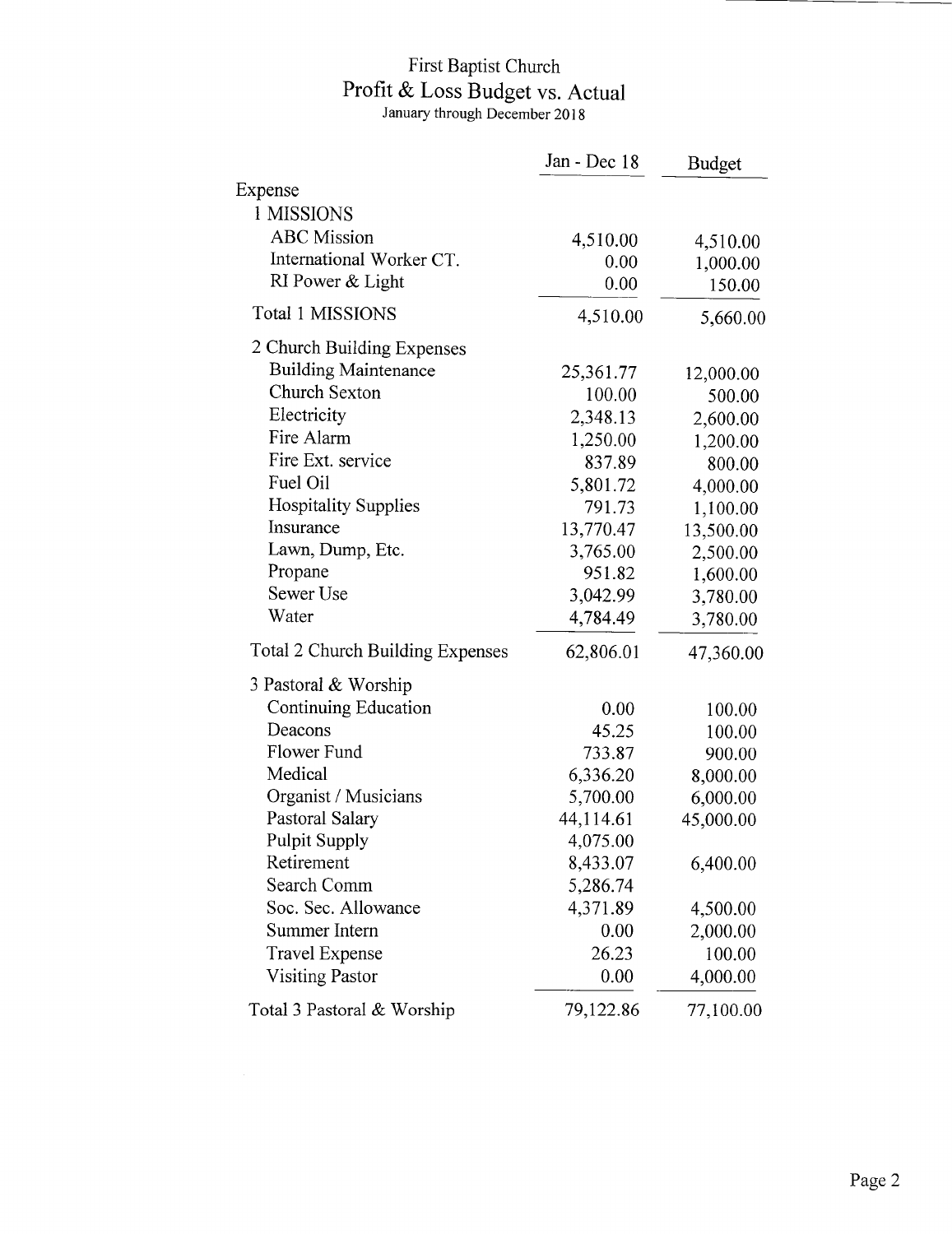## First Baptist Church Profit & Loss Budget vs. Actual<br>January through December 2018

|                                         | Jan - Dec 18 | <b>Budget</b> |
|-----------------------------------------|--------------|---------------|
| Expense                                 |              |               |
| 1 MISSIONS                              |              |               |
| <b>ABC</b> Mission                      | 4,510.00     | 4,510.00      |
| International Worker CT.                | 0.00         | 1,000.00      |
| RI Power & Light                        | 0.00         | 150.00        |
| Total 1 MISSIONS                        | 4,510.00     | 5,660.00      |
| 2 Church Building Expenses              |              |               |
| <b>Building Maintenance</b>             | 25,361.77    | 12,000.00     |
| Church Sexton                           | 100.00       | 500.00        |
| Electricity                             | 2,348.13     | 2,600.00      |
| Fire Alarm                              | 1,250.00     | 1,200.00      |
| Fire Ext. service                       | 837.89       | 800.00        |
| Fuel Oil                                | 5,801.72     | 4,000.00      |
| <b>Hospitality Supplies</b>             | 791.73       | 1,100.00      |
| Insurance                               | 13,770.47    | 13,500.00     |
| Lawn, Dump, Etc.                        | 3,765.00     | 2,500.00      |
| Propane                                 | 951.82       | 1,600.00      |
| Sewer Use                               | 3,042.99     | 3,780.00      |
| Water                                   | 4,784.49     | 3,780.00      |
| <b>Total 2 Church Building Expenses</b> | 62,806.01    | 47,360.00     |
| 3 Pastoral & Worship                    |              |               |
| Continuing Education                    | 0.00         | 100.00        |
| Deacons                                 | 45.25        | 100.00        |
| Flower Fund                             | 733.87       | 900.00        |
| Medical                                 | 6,336.20     | 8,000.00      |
| Organist / Musicians                    | 5,700.00     | 6,000.00      |
| Pastoral Salary                         | 44,114.61    | 45,000.00     |
| <b>Pulpit Supply</b>                    | 4,075.00     |               |
| Retirement                              | 8,433.07     | 6,400.00      |
| Search Comm                             | 5,286.74     |               |
| Soc. Sec. Allowance                     | 4,371.89     | 4,500.00      |
| <b>Summer Intern</b>                    | 0.00         | 2,000.00      |
| <b>Travel Expense</b>                   | 26.23        | 100.00        |
| <b>Visiting Pastor</b>                  | 0.00         | 4,000.00      |
| Total 3 Pastoral & Worship              | 79,122.86    | 77,100.00     |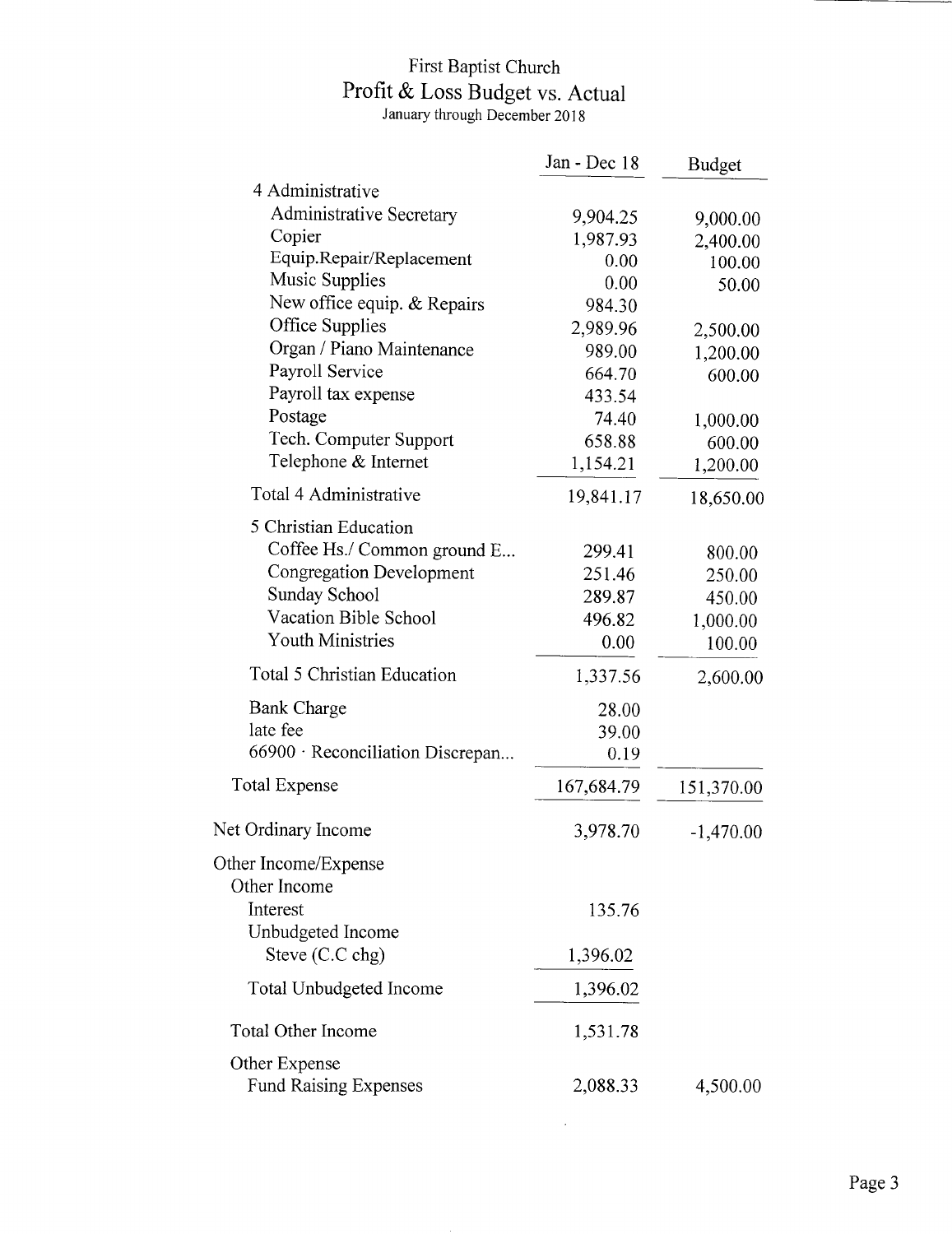## First Baptist Church Profit & Loss Budget vs. Actual<br>January through December 2018

|                                  | Jan - Dec 18 | <b>Budget</b> |
|----------------------------------|--------------|---------------|
| 4 Administrative                 |              |               |
| <b>Administrative Secretary</b>  | 9,904.25     | 9,000.00      |
| Copier                           | 1,987.93     | 2,400.00      |
| Equip.Repair/Replacement         | 0.00         | 100.00        |
| Music Supplies                   | 0.00         | 50.00         |
| New office equip. & Repairs      | 984.30       |               |
| Office Supplies                  | 2,989.96     | 2,500.00      |
| Organ / Piano Maintenance        | 989.00       | 1,200.00      |
| Payroll Service                  | 664.70       | 600.00        |
| Payroll tax expense              | 433.54       |               |
| Postage                          | 74.40        | 1,000.00      |
| Tech. Computer Support           | 658.88       | 600.00        |
| Telephone & Internet             | 1,154.21     | 1,200.00      |
| Total 4 Administrative           | 19,841.17    | 18,650.00     |
| 5 Christian Education            |              |               |
| Coffee Hs./ Common ground E      | 299.41       | 800.00        |
| <b>Congregation Development</b>  | 251.46       | 250.00        |
| Sunday School                    | 289.87       | 450.00        |
| Vacation Bible School            | 496.82       | 1,000.00      |
| <b>Youth Ministries</b>          | 0.00         | 100.00        |
| Total 5 Christian Education      | 1,337.56     | 2,600.00      |
| <b>Bank Charge</b>               | 28.00        |               |
| late fee                         | 39.00        |               |
| 66900 · Reconciliation Discrepan | 0.19         |               |
| <b>Total Expense</b>             | 167,684.79   | 151,370.00    |
|                                  |              |               |
| Net Ordinary Income              | 3,978.70     | $-1,470.00$   |
| Other Income/Expense             |              |               |
| Other Income                     |              |               |
| Interest                         | 135.76       |               |
| Unbudgeted Income                |              |               |
| Steve (C.C chg)                  | 1,396.02     |               |
| Total Unbudgeted Income          | 1,396.02     |               |
| Total Other Income               | 1,531.78     |               |
| Other Expense                    |              |               |
| <b>Fund Raising Expenses</b>     | 2,088.33     | 4,500.00      |

 $\bar{\mathcal{A}}$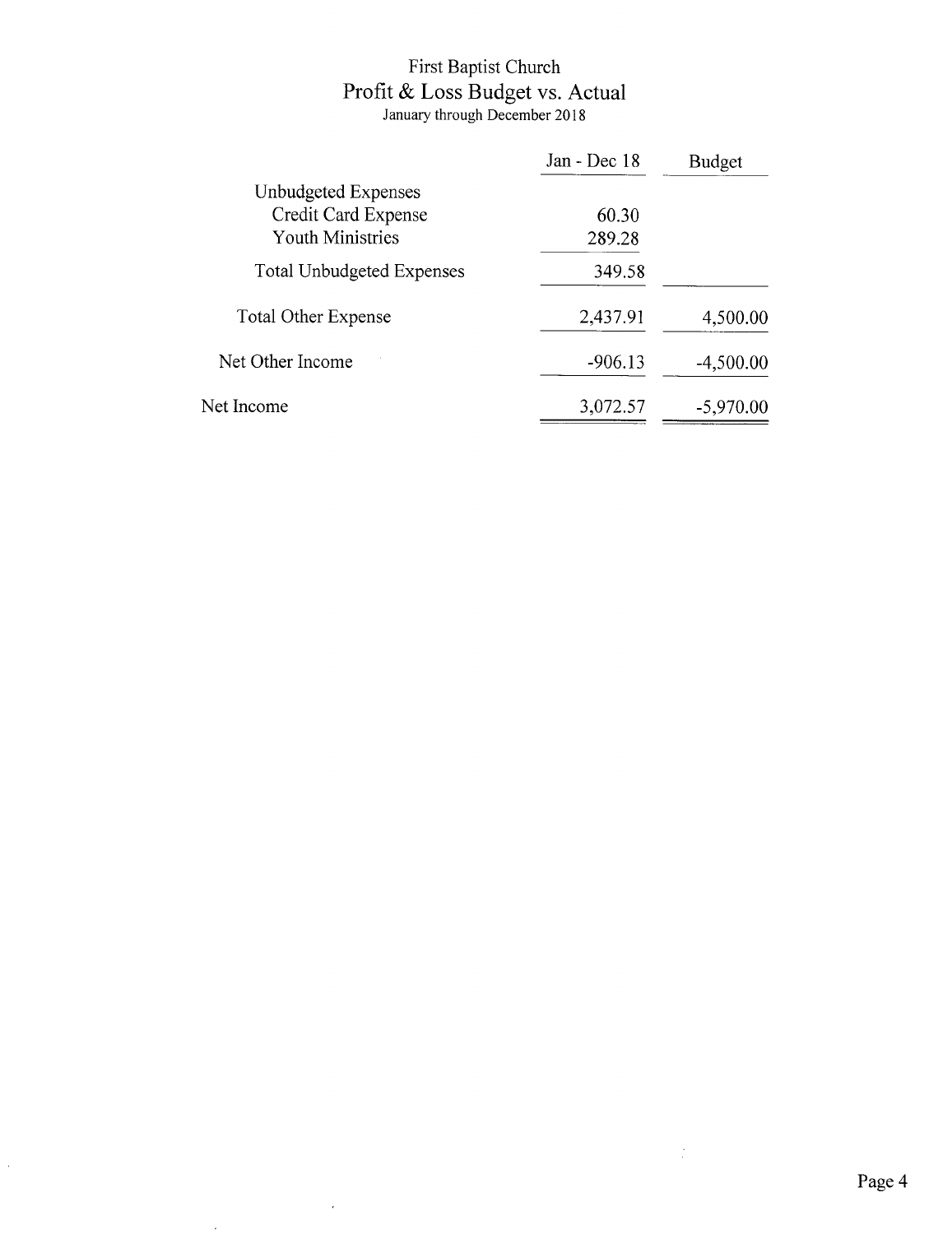# First Baptist Church<br>Profit & Loss Budget vs. Actual<br>January through December 2018

|                                  | Jan - Dec 18 | <b>Budget</b> |
|----------------------------------|--------------|---------------|
| Unbudgeted Expenses              |              |               |
| Credit Card Expense              | 60.30        |               |
| <b>Youth Ministries</b>          | 289.28       |               |
| <b>Total Unbudgeted Expenses</b> | 349.58       |               |
| <b>Total Other Expense</b>       | 2,437.91     | 4,500.00      |
| Net Other Income                 | $-906.13$    | $-4,500.00$   |
| Net Income                       | 3,072.57     | $-5,970.00$   |

 $\hat{\boldsymbol{\beta}}$ 

 $\bar{\epsilon}$ 

 $\mathcal{L}_{\mathcal{A}}$ 

 $\frac{1}{2}$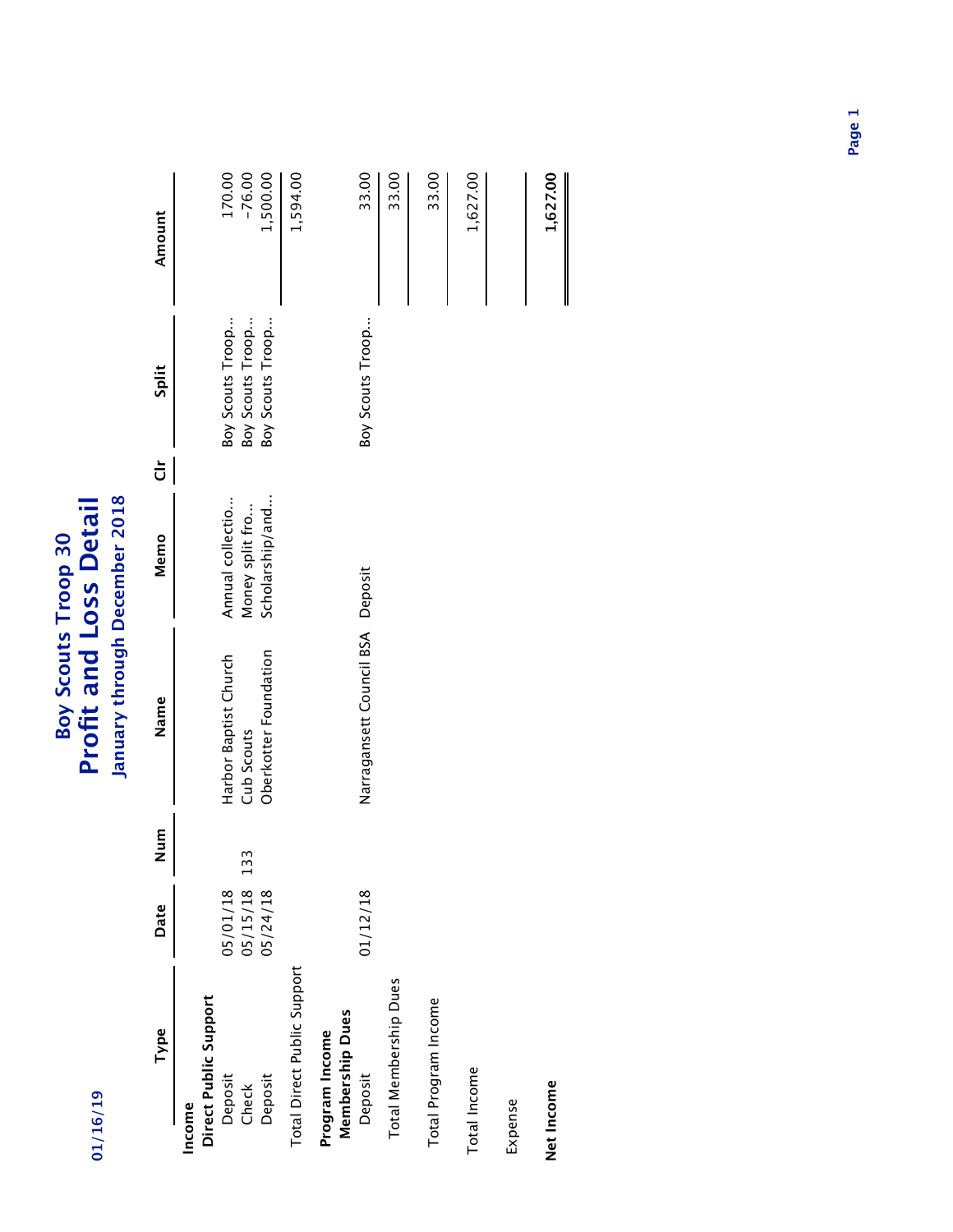| 01/16/19                                            |                      |     | January through December 2018<br><b>Profit and Loss Detail</b><br>Boy Scouts Troop 30 |                                     |                           |                                      |                    |
|-----------------------------------------------------|----------------------|-----|---------------------------------------------------------------------------------------|-------------------------------------|---------------------------|--------------------------------------|--------------------|
| Type                                                | Date                 | Num | Name                                                                                  | Memo                                | $\overline{\overline{C}}$ | Split                                | Amount             |
| Direct Public Support<br>Deposit<br>Check<br>Income | 05/15/18<br>05/01/18 | 133 | Harbor Baptist Church<br>Cub Scouts                                                   | Annual collectio<br>Money split fro |                           | Boy Scouts Troop<br>Boy Scouts Troop | 170.00<br>$-76.00$ |
| Deposit                                             | 05/24/18             |     | Oberkotter Foundation                                                                 | Scholarship/and                     |                           | Boy Scouts Troop                     | 1,500.00           |
| Total Direct Public Support                         |                      |     |                                                                                       |                                     |                           |                                      | 1,594.00           |
| <b>Membership Dues</b><br>Program Income<br>Deposit | 01/12/18             |     | Narragansett Council BSA Deposit                                                      |                                     |                           | Boy Scouts Troop                     | 33.00              |
| Total Membership Dues                               |                      |     |                                                                                       |                                     |                           |                                      | 33.00              |
| Total Program Income                                |                      |     |                                                                                       |                                     |                           |                                      | 33.00              |
| Total Income                                        |                      |     |                                                                                       |                                     |                           |                                      | 1,627.00           |
|                                                     |                      |     |                                                                                       |                                     |                           |                                      |                    |

Expense

**Net Income 1,627.00** Net Income

1,627.00

**Page 1**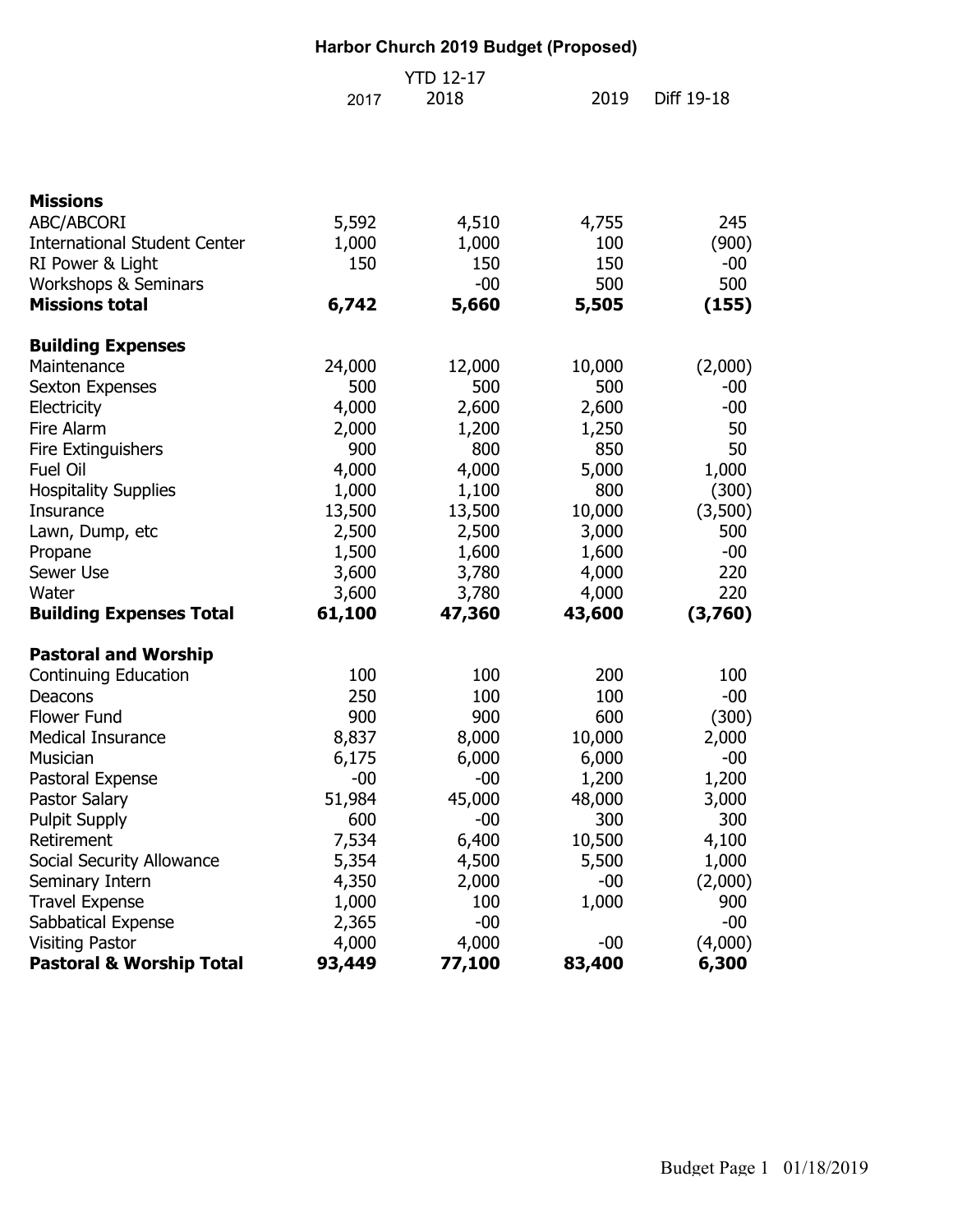#### **Harbor Church 2019 Budget (Proposed)** 2017 2019 Diff 19-18 **Missions** ABC/ABCORI 5,592 4,510 4,755 245 International Student Center 1,000 1,000 100 (900) RI Power & Light 150 150 150 -00 Workshops & Seminars  $-00$  500 500 500 **Missions total 6,742 5,660 5,505 (155) Building Expenses** Maintenance 24,000 12,000 10,000 (2,000) Sexton Expenses 500 500 500 -00 Electricity 4,000 2,600 2,600 -00 Fire Alarm 2,000 1,200 1,250 50 Fire Extinguishers **800** 850 50 Fuel Oil 4,000 4,000 5,000 1,000 Hospitality Supplies 1,000 1,100 800 (300) Insurance 13,500 13,500 10,000 (3,500) Lawn, Dump, etc 2,500 2,500 3,000 500 Propane 1,500 1,600 1,600 -00 Sewer Use 3,600 3,780 4,000 220 Water 3,600 3,780 4,000 220 **Building Expenses Total 61,100 47,360 43,600 (3,760) Pastoral and Worship** Continuing Education 100 100 100 200 100 Deacons 250 100 100 -00 Flower Fund 1900 900 900 600 (300) Medical Insurance 8,837 8,000 10,000 2,000 Musician 6,175 6,000 6,000 -00 Pastoral Expense  $-00$   $-00$   $1,200$   $1,200$ Pastor Salary 51,984 45,000 48,000 3,000 Pulpit Supply **600** -00 300 300 300 Retirement 10,500 **10,500** 10,500 **4**,100 Social Security Allowance  $\begin{array}{cccc} 5,354 & 4,500 & 5,500 & 1,000 \end{array}$ Seminary Intern 4,350 2,000 -00 (2,000) Travel Expense 1,000 100 1,000 900 Sabbatical Expense  $2,365$  -00  $-00$ Visiting Pastor  $\begin{array}{ccc} 4,000 & 4,000 & -00 \end{array}$  (4,000) **Pastoral & Worship Total 93,449 77,100 83,400 6,300**  YTD 12-17 2018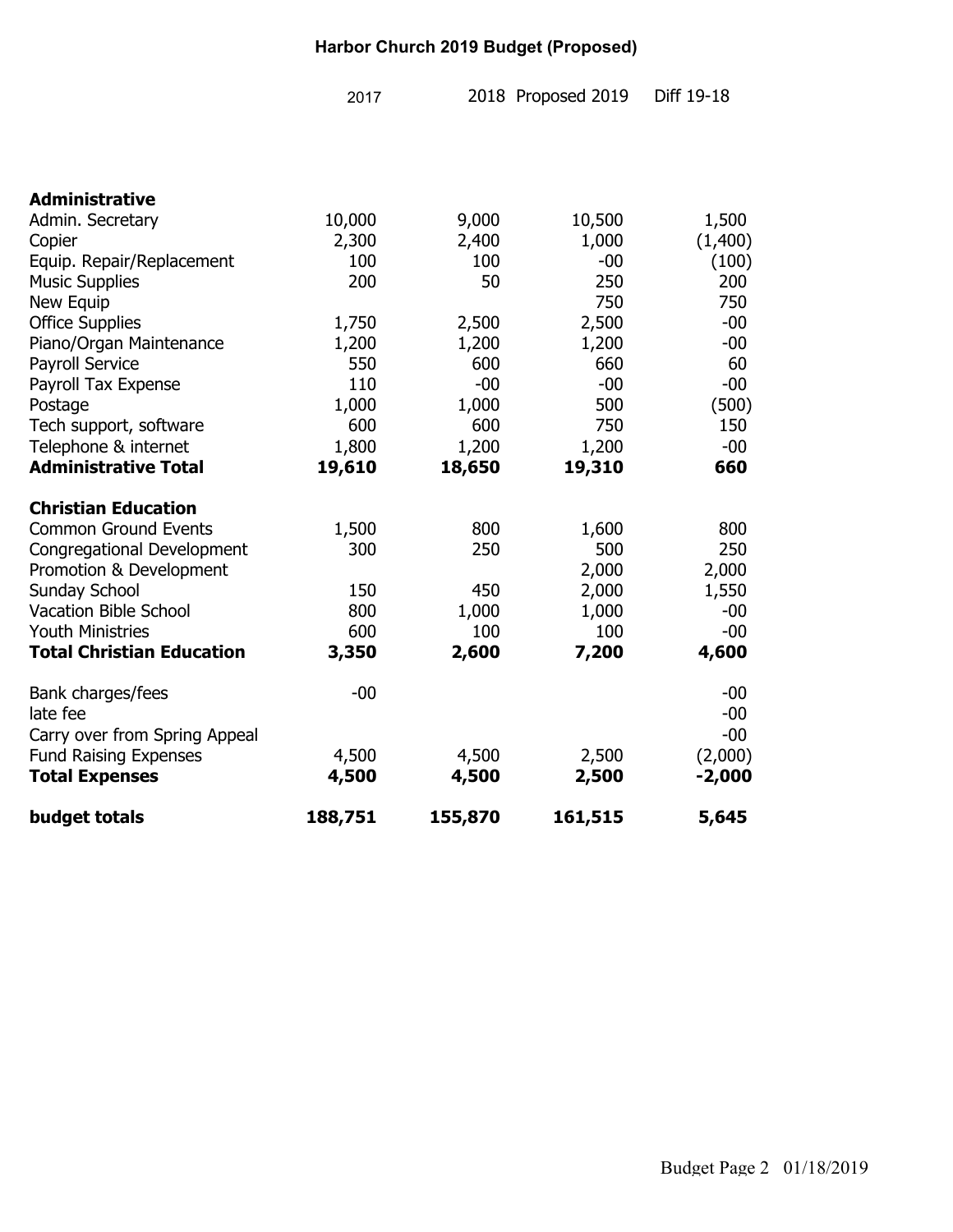#### **Harbor Church 2019 Budget (Proposed)**

| 2017 | 2018 Proposed 2019 | Diff 19-18 |
|------|--------------------|------------|
|      |                    |            |

| <b>Administrative</b>            |         |         |         |          |
|----------------------------------|---------|---------|---------|----------|
| Admin. Secretary                 | 10,000  | 9,000   | 10,500  | 1,500    |
| Copier                           | 2,300   | 2,400   | 1,000   | (1,400)  |
| Equip. Repair/Replacement        | 100     | 100     | $-00$   | (100)    |
| <b>Music Supplies</b>            | 200     | 50      | 250     | 200      |
| New Equip                        |         |         | 750     | 750      |
| <b>Office Supplies</b>           | 1,750   | 2,500   | 2,500   | $-00$    |
| Piano/Organ Maintenance          | 1,200   | 1,200   | 1,200   | $-00$    |
| Payroll Service                  | 550     | 600     | 660     | 60       |
| Payroll Tax Expense              | 110     | $-00$   | $-00$   | $-00$    |
| Postage                          | 1,000   | 1,000   | 500     | (500)    |
| Tech support, software           | 600     | 600     | 750     | 150      |
| Telephone & internet             | 1,800   | 1,200   | 1,200   | $-00$    |
| <b>Administrative Total</b>      | 19,610  | 18,650  | 19,310  | 660      |
| <b>Christian Education</b>       |         |         |         |          |
| <b>Common Ground Events</b>      | 1,500   | 800     | 1,600   | 800      |
| Congregational Development       | 300     | 250     | 500     | 250      |
| Promotion & Development          |         |         | 2,000   | 2,000    |
| <b>Sunday School</b>             | 150     | 450     | 2,000   | 1,550    |
| <b>Vacation Bible School</b>     | 800     | 1,000   | 1,000   | $-00$    |
| <b>Youth Ministries</b>          | 600     | 100     | 100     | $-00$    |
| <b>Total Christian Education</b> | 3,350   | 2,600   | 7,200   | 4,600    |
| Bank charges/fees                | $-00$   |         |         | $-00$    |
| late fee                         |         |         |         | $-00$    |
| Carry over from Spring Appeal    |         |         |         | $-00$    |
| <b>Fund Raising Expenses</b>     | 4,500   | 4,500   | 2,500   | (2,000)  |
| <b>Total Expenses</b>            | 4,500   | 4,500   | 2,500   | $-2,000$ |
| budget totals                    | 188,751 | 155,870 | 161,515 | 5,645    |